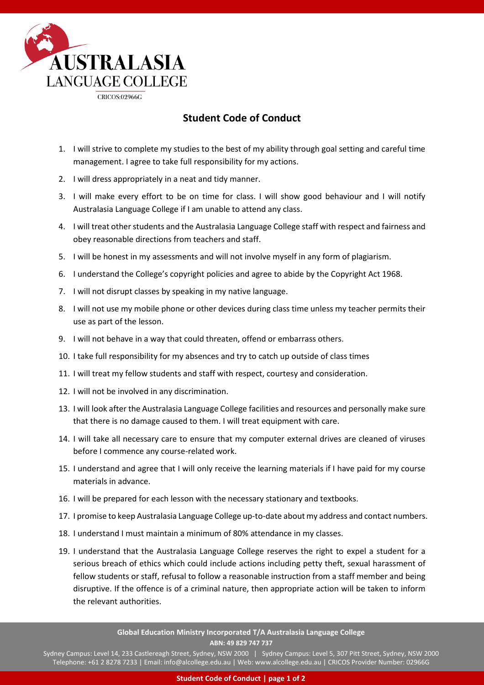

## **Student Code of Conduct**

- 1. I will strive to complete my studies to the best of my ability through goal setting and careful time management. I agree to take full responsibility for my actions.
- 2. I will dress appropriately in a neat and tidy manner.
- 3. I will make every effort to be on time for class. I will show good behaviour and I will notify Australasia Language College if I am unable to attend any class.
- 4. I will treat other students and the Australasia Language College staff with respect and fairness and obey reasonable directions from teachers and staff.
- 5. I will be honest in my assessments and will not involve myself in any form of plagiarism.
- 6. I understand the College's copyright policies and agree to abide by the Copyright Act 1968.
- 7. I will not disrupt classes by speaking in my native language.
- 8. I will not use my mobile phone or other devices during class time unless my teacher permits their use as part of the lesson.
- 9. I will not behave in a way that could threaten, offend or embarrass others.
- 10. I take full responsibility for my absences and try to catch up outside of class times
- 11. I will treat my fellow students and staff with respect, courtesy and consideration.
- 12. I will not be involved in any discrimination.
- 13. I will look after the Australasia Language College facilities and resources and personally make sure that there is no damage caused to them. I will treat equipment with care.
- 14. I will take all necessary care to ensure that my computer external drives are cleaned of viruses before I commence any course-related work.
- 15. I understand and agree that I will only receive the learning materials if I have paid for my course materials in advance.
- 16. I will be prepared for each lesson with the necessary stationary and textbooks.
- 17. I promise to keep Australasia Language College up-to-date about my address and contact numbers.
- 18. I understand I must maintain a minimum of 80% attendance in my classes.
- 19. I understand that the Australasia Language College reserves the right to expel a student for a serious breach of ethics which could include actions including petty theft, sexual harassment of fellow students or staff, refusal to follow a reasonable instruction from a staff member and being disruptive. If the offence is of a criminal nature, then appropriate action will be taken to inform the relevant authorities.

**Global Education Ministry Incorporated T/A Australasia Language College ABN: 49 829 747 737**

Sydney Campus: Level 14, 233 Castlereagh Street, Sydney, NSW 2000 | Sydney Campus: Level 5, 307 Pitt Street, Sydney, NSW 2000 Telephone: +61 2 8278 7233 | Email: info@alcollege.edu.au | Web: www.alcollege.edu.au | CRICOS Provider Number: 02966G